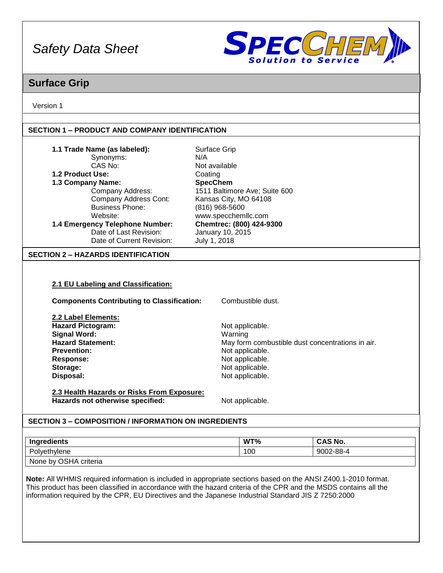

## **Surface Grip**

Version 1

#### **SECTION 1 – PRODUCT AND COMPANY IDENTIFICATION**

| January 10, 2015<br>July 1, 2018                                                                                                                                                 |                                                                                                                |  |
|----------------------------------------------------------------------------------------------------------------------------------------------------------------------------------|----------------------------------------------------------------------------------------------------------------|--|
|                                                                                                                                                                                  |                                                                                                                |  |
| <b>Components Contributing to Classification:</b><br>Combustible dust.<br>Not applicable.<br>Warning<br>Not applicable.<br>Not applicable.<br>Not applicable.<br>Not applicable. | May form combustible dust concentrations in air.                                                               |  |
| 2.3 Health Hazards or Risks From Exposure:<br>Hazards not otherwise specified:<br>Not applicable.                                                                                |                                                                                                                |  |
| <b>SECTION 3 - COMPOSITION / INFORMATION ON INGREDIENTS</b>                                                                                                                      |                                                                                                                |  |
| WT%                                                                                                                                                                              | <b>CAS No.</b>                                                                                                 |  |
| 100                                                                                                                                                                              | 9002-88-4                                                                                                      |  |
|                                                                                                                                                                                  |                                                                                                                |  |
| $\sim$ and dentised because alone $R$ and the proportional central dependent of the CDD public. MODO proteins all the                                                            | Note: All WHMIS required information is included in appropriate sections based on the ANSI Z400.1-2010 format. |  |

This product has been classified in accordance with the hazard criteria of the CPR and the MSDS contains all the information required by the CPR, EU Directives and the Japanese Industrial Standard JIS Z 7250:2000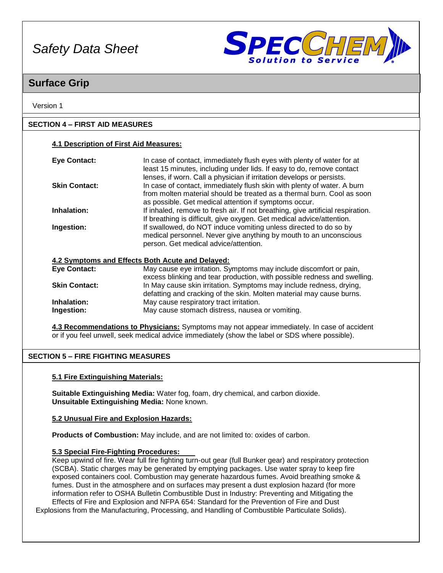

## **Surface Grip**

Version 1

#### **SECTION 4 – FIRST AID MEASURES**

|  |  |  | 4.1 Description of First Aid Measures: |  |
|--|--|--|----------------------------------------|--|
|  |  |  |                                        |  |

| <b>Eye Contact:</b>  | In case of contact, immediately flush eyes with plenty of water for at          |
|----------------------|---------------------------------------------------------------------------------|
|                      | least 15 minutes, including under lids. If easy to do, remove contact           |
|                      | lenses, if worn. Call a physician if irritation develops or persists.           |
| <b>Skin Contact:</b> | In case of contact, immediately flush skin with plenty of water. A burn         |
|                      | from molten material should be treated as a thermal burn. Cool as soon          |
|                      | as possible. Get medical attention if symptoms occur.                           |
| Inhalation:          | If inhaled, remove to fresh air. If not breathing, give artificial respiration. |
|                      | If breathing is difficult, give oxygen. Get medical advice/attention.           |
| Ingestion:           | If swallowed, do NOT induce vomiting unless directed to do so by                |
|                      | medical personnel. Never give anything by mouth to an unconscious               |
|                      | person. Get medical advice/attention.                                           |

#### **4.2 Symptoms and Effects Both Acute and Delayed:**

| <b>Eye Contact:</b>  | May cause eye irritation. Symptoms may include discomfort or pain,       |
|----------------------|--------------------------------------------------------------------------|
|                      | excess blinking and tear production, with possible redness and swelling. |
| <b>Skin Contact:</b> | In May cause skin irritation. Symptoms may include redness, drying,      |
|                      | defatting and cracking of the skin. Molten material may cause burns.     |
| Inhalation:          | May cause respiratory tract irritation.                                  |
| Ingestion:           | May cause stomach distress, nausea or vomiting.                          |

**4.3 Recommendations to Physicians:** Symptoms may not appear immediately. In case of accident or if you feel unwell, seek medical advice immediately (show the label or SDS where possible).

#### **SECTION 5 – FIRE FIGHTING MEASURES**

#### **5.1 Fire Extinguishing Materials:**

**Suitable Extinguishing Media:** Water fog, foam, dry chemical, and carbon dioxide. **Unsuitable Extinguishing Media:** None known.

#### **5.2 Unusual Fire and Explosion Hazards:**

**Products of Combustion:** May include, and are not limited to: oxides of carbon.

#### **5.3 Special Fire-Fighting Procedures:**

Keep upwind of fire. Wear full fire fighting turn-out gear (full Bunker gear) and respiratory protection (SCBA). Static charges may be generated by emptying packages. Use water spray to keep fire exposed containers cool. Combustion may generate hazardous fumes. Avoid breathing smoke & fumes. Dust in the atmosphere and on surfaces may present a dust explosion hazard (for more information refer to OSHA Bulletin Combustible Dust in Industry: Preventing and Mitigating the Effects of Fire and Explosion and NFPA 654: Standard for the Prevention of Fire and Dust

Explosions from the Manufacturing, Processing, and Handling of Combustible Particulate Solids).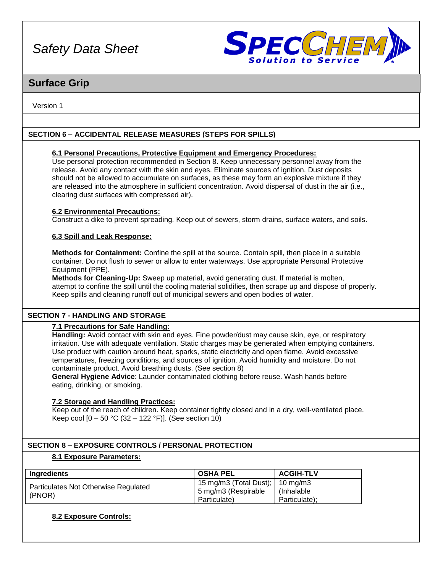

## **Surface Grip**

Version 1

#### **SECTION 6 – ACCIDENTAL RELEASE MEASURES (STEPS FOR SPILLS)**

#### **6.1 Personal Precautions, Protective Equipment and Emergency Procedures:**

Use personal protection recommended in Section 8. Keep unnecessary personnel away from the release. Avoid any contact with the skin and eyes. Eliminate sources of ignition. Dust deposits should not be allowed to accumulate on surfaces, as these may form an explosive mixture if they are released into the atmosphere in sufficient concentration. Avoid dispersal of dust in the air (i.e., clearing dust surfaces with compressed air).

#### **6.2 Environmental Precautions:**

Construct a dike to prevent spreading. Keep out of sewers, storm drains, surface waters, and soils.

#### **6.3 Spill and Leak Response:**

**Methods for Containment:** Confine the spill at the source. Contain spill, then place in a suitable container. Do not flush to sewer or allow to enter waterways. Use appropriate Personal Protective Equipment (PPE).

**Methods for Cleaning-Up:** Sweep up material, avoid generating dust. If material is molten, attempt to confine the spill until the cooling material solidifies, then scrape up and dispose of properly. Keep spills and cleaning runoff out of municipal sewers and open bodies of water.

#### **SECTION 7 - HANDLING AND STORAGE**

#### **7.1 Precautions for Safe Handling:**

**Handling:** Avoid contact with skin and eyes. Fine powder/dust may cause skin, eye, or respiratory irritation. Use with adequate ventilation. Static charges may be generated when emptying containers. Use product with caution around heat, sparks, static electricity and open flame. Avoid excessive temperatures, freezing conditions, and sources of ignition. Avoid humidity and moisture. Do not contaminate product. Avoid breathing dusts. (See section 8)

**General Hygiene Advice**: Launder contaminated clothing before reuse. Wash hands before eating, drinking, or smoking.

#### **7.2 Storage and Handling Practices:**

Keep out of the reach of children. Keep container tightly closed and in a dry, well-ventilated place. Keep cool  $[0 - 50 °C (32 - 122 °F)]$ . (See section 10)

#### **SECTION 8 – EXPOSURE CONTROLS / PERSONAL PROTECTION**

#### **8.1 Exposure Parameters:**

| Ingredients                                      | <b>OSHA PEL</b>                                                                | <b>ACGIH-TLV</b>             |
|--------------------------------------------------|--------------------------------------------------------------------------------|------------------------------|
| Particulates Not Otherwise Regulated<br>  (PNOR) | 15 mg/m3 (Total Dust); $\vert$ 10 mg/m3<br>5 mg/m3 (Respirable<br>Particulate) | (Inhalable)<br>Particulate): |

#### **8.2 Exposure Controls:**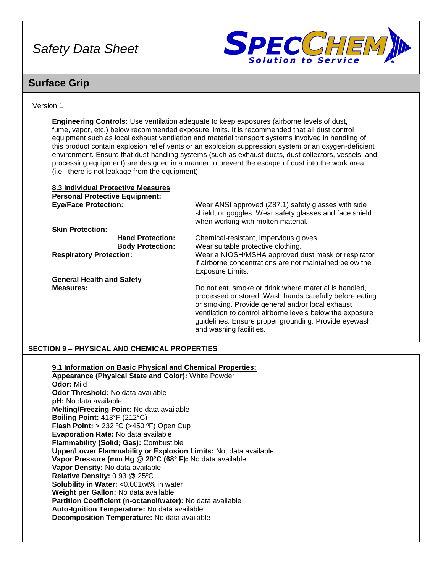

## **Surface Grip**

#### Version 1

**Engineering Controls:** Use ventilation adequate to keep exposures (airborne levels of dust, fume, vapor, etc.) below recommended exposure limits. It is recommended that all dust control equipment such as local exhaust ventilation and material transport systems involved in handling of this product contain explosion relief vents or an explosion suppression system or an oxygen-deficient environment. Ensure that dust-handling systems (such as exhaust ducts, dust collectors, vessels, and processing equipment) are designed in a manner to prevent the escape of dust into the work area (i.e., there is not leakage from the equipment).

| 8.3 Individual Protective Measures<br><b>Personal Protective Equipment:</b> |                                                                                                                                                                                                                                                                                                                      |
|-----------------------------------------------------------------------------|----------------------------------------------------------------------------------------------------------------------------------------------------------------------------------------------------------------------------------------------------------------------------------------------------------------------|
| <b>Eye/Face Protection:</b>                                                 | Wear ANSI approved (Z87.1) safety glasses with side<br>shield, or goggles. Wear safety glasses and face shield<br>when working with molten material.                                                                                                                                                                 |
| <b>Skin Protection:</b>                                                     |                                                                                                                                                                                                                                                                                                                      |
| <b>Hand Protection:</b><br><b>Body Protection:</b>                          | Chemical-resistant, impervious gloves.<br>Wear suitable protective clothing.                                                                                                                                                                                                                                         |
| <b>Respiratory Protection:</b>                                              | Wear a NIOSH/MSHA approved dust mask or respirator<br>if airborne concentrations are not maintained below the<br>Exposure Limits.                                                                                                                                                                                    |
| <b>General Health and Safety</b>                                            |                                                                                                                                                                                                                                                                                                                      |
| Measures:                                                                   | Do not eat, smoke or drink where material is handled,<br>processed or stored. Wash hands carefully before eating<br>or smoking. Provide general and/or local exhaust<br>ventilation to control airborne levels below the exposure<br>guidelines. Ensure proper grounding. Provide eyewash<br>and washing facilities. |

#### **SECTION 9 – PHYSICAL AND CHEMICAL PROPERTIES**

**9.1 Information on Basic Physical and Chemical Properties:**

**Appearance (Physical State and Color):** White Powder **Odor:** Mild **Odor Threshold:** No data available **pH:** No data available **Melting/Freezing Point:** No data available **Boiling Point:** 413°F (212°C) **Flash Point:** > 232 ºC (>450 ºF) Open Cup **Evaporation Rate:** No data available **Flammability (Solid; Gas):** Combustible **Upper/Lower Flammability or Explosion Limits:** Not data available **Vapor Pressure (mm Hg @ 20°C (68° F):** No data available **Vapor Density:** No data available **Relative Density:** 0.93 @ 25ºC **Solubility in Water:** <0.001wt% in water **Weight per Gallon:** No data available **Partition Coefficient (n-octanol/water):** No data available **Auto-Ignition Temperature:** No data available **Decomposition Temperature:** No data available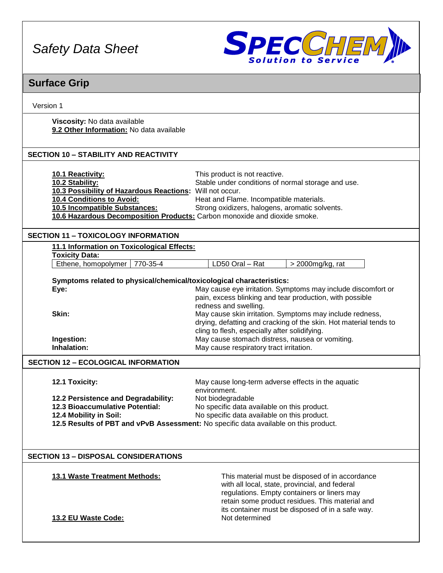

## Version 1 **Surface Grip Viscosity:** No data available **9.2 Other Information:** No data available **10.1 Reactivity:** This product is not reactive. **10.2 Stability:** Stable under conditions of normal storage and use. **10.3 Possibility of Hazardous Reactions:** Will not occur. **10.4 Conditions to Avoid:** Heat and Flame. Incompatible materials.<br>**10.5 Incompatible Substances:** Strong oxidizers, halogens, aromatic solv **10.5 Incompatible Substances:** Strong oxidizers, halogens, aromatic solvents. **10.6 Hazardous Decomposition Products:** Carbon monoxide and dioxide smoke. **11.1 Information on Toxicological Effects: Toxicity Data:** Ethene, homopolymer 770-35-4 LD50 Oral – Rat > 2000mg/kg, rat **Symptoms related to physical/chemical/toxicological characteristics: Eye:** May cause eye irritation. Symptoms may include discomfort or pain, excess blinking and tear production, with possible redness and swelling. **Skin:** May cause skin irritation. Symptoms may include redness, drying, defatting and cracking of the skin. Hot material tends to cling to flesh, especially after solidifying. **Ingestion: May cause stomach distress, nausea or vomiting. Ingestion: May cause stomach distress, nausea or vomiting. Inhalation: May cause respiratory tract irritation. 12.1 Toxicity:** May cause long-term adverse effects in the aquatic environment. **12.2 Persistence and Degradability:** Not biodegradable **12.3 Bioaccumulative Potential:** No specific data available on this product. **12.4 Mobility in Soil:** No specific data available on this product. **12.5 Results of PBT and vPvB Assessment:** No specific data available on this product. **13.1 Waste Treatment Methods:** This material must be disposed of in accordance with all local, state, provincial, and federal regulations. Empty containers or liners may retain some product residues. This material and its container must be disposed of in a safe way. **13.2 EU Waste Code:** Not determined **SECTION 13 – DISPOSAL CONSIDERATIONS SECTION 12 – ECOLOGICAL INFORMATION SECTION 11 – TOXICOLOGY INFORMATION SECTION 10 – STABILITY AND REACTIVITY**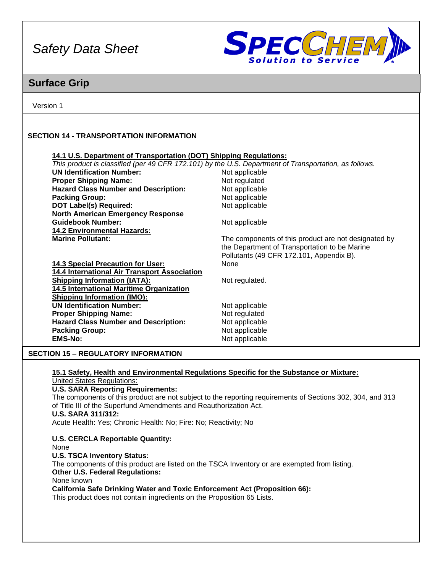

## **Surface Grip**

Version 1

#### **SECTION 14 - TRANSPORTATION INFORMATION**

| 14.1 U.S. Department of Transportation (DOT) Shipping Regulations: | This product is classified (per 49 CFR 172.101) by the U.S. Department of Transportation, as follows. |
|--------------------------------------------------------------------|-------------------------------------------------------------------------------------------------------|
| <b>UN Identification Number:</b>                                   | Not applicable                                                                                        |
| <b>Proper Shipping Name:</b>                                       | Not regulated                                                                                         |
| <b>Hazard Class Number and Description:</b>                        | Not applicable                                                                                        |
| <b>Packing Group:</b>                                              | Not applicable                                                                                        |
| <b>DOT Label(s) Required:</b>                                      | Not applicable                                                                                        |
| <b>North American Emergency Response</b>                           |                                                                                                       |
| <b>Guidebook Number:</b>                                           | Not applicable                                                                                        |
| <b>14.2 Environmental Hazards:</b>                                 |                                                                                                       |
| <b>Marine Pollutant:</b>                                           | The components of this product are not designated by                                                  |
|                                                                    | the Department of Transportation to be Marine                                                         |
|                                                                    | Pollutants (49 CFR 172.101, Appendix B).                                                              |
| <b>14.3 Special Precaution for User:</b>                           | None                                                                                                  |
| 14.4 International Air Transport Association                       |                                                                                                       |
| <b>Shipping Information (IATA):</b>                                | Not regulated.                                                                                        |
| 14.5 International Maritime Organization                           |                                                                                                       |
| <b>Shipping Information (IMO):</b>                                 |                                                                                                       |
| <b>UN Identification Number:</b>                                   | Not applicable                                                                                        |
| <b>Proper Shipping Name:</b>                                       | Not regulated                                                                                         |
| <b>Hazard Class Number and Description:</b>                        | Not applicable                                                                                        |
| <b>Packing Group:</b>                                              | Not applicable                                                                                        |
| <b>EMS-No:</b>                                                     | Not applicable                                                                                        |

#### **SECTION 15 – REGULATORY INFORMATION**

**15.1 Safety, Health and Environmental Regulations Specific for the Substance or Mixture:** United States Regulations:

#### **U.S. SARA Reporting Requirements:**

The components of this product are not subject to the reporting requirements of Sections 302, 304, and 313 of Title III of the Superfund Amendments and Reauthorization Act.

#### **U.S. SARA 311/312:**

Acute Health: Yes; Chronic Health: No; Fire: No; Reactivity; No

**U.S. CERCLA Reportable Quantity:** None **U.S. TSCA Inventory Status:** The components of this product are listed on the TSCA Inventory or are exempted from listing. **Other U.S. Federal Regulations:** None known **California Safe Drinking Water and Toxic Enforcement Act (Proposition 66):** This product does not contain ingredients on the Proposition 65 Lists.